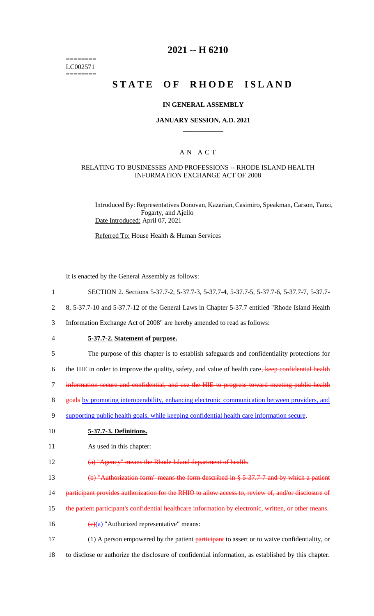======== LC002571 ========

## **2021 -- H 6210**

## **STATE OF RHODE ISLAND**

#### **IN GENERAL ASSEMBLY**

#### **JANUARY SESSION, A.D. 2021 \_\_\_\_\_\_\_\_\_\_\_\_**

#### A N A C T

#### RELATING TO BUSINESSES AND PROFESSIONS -- RHODE ISLAND HEALTH INFORMATION EXCHANGE ACT OF 2008

Introduced By: Representatives Donovan, Kazarian, Casimiro, Speakman, Carson, Tanzi, Fogarty, and Ajello Date Introduced: April 07, 2021

Referred To: House Health & Human Services

It is enacted by the General Assembly as follows:

- 1 SECTION 2. Sections 5-37.7-2, 5-37.7-3, 5-37.7-4, 5-37.7-5, 5-37.7-6, 5-37.7-7, 5-37.7-
- 2 8, 5-37.7-10 and 5-37.7-12 of the General Laws in Chapter 5-37.7 entitled "Rhode Island Health
- 3 Information Exchange Act of 2008" are hereby amended to read as follows:
- 4 **5-37.7-2. Statement of purpose.**
- 5 The purpose of this chapter is to establish safeguards and confidentiality protections for
- 6 the HIE in order to improve the quality, safety, and value of health care, keep confidential health
- 7 information secure and confidential, and use the HIE to progress toward meeting public-health
- 8 goals by promoting interoperability, enhancing electronic communication between providers, and
- 9 supporting public health goals, while keeping confidential health care information secure.

#### 10 **5-37.7-3. Definitions.**

- 11 As used in this chapter:
- 12 (a) "Agency" means the Rhode Island department of health.
- 13 (b) "Authorization form" means the form described in § 5-37.7-7 and by which a patient
- 14 participant provides authorization for the RHIO to allow access to, review of, and/or disclosure of
- 15 the patient participant's confidential healthcare information by electronic, written, or other means.
- 16  $(e)(a)$  "Authorized representative" means:
- 17 (1) A person empowered by the patient **participant** to assert or to waive confidentiality, or
- 18 to disclose or authorize the disclosure of confidential information, as established by this chapter.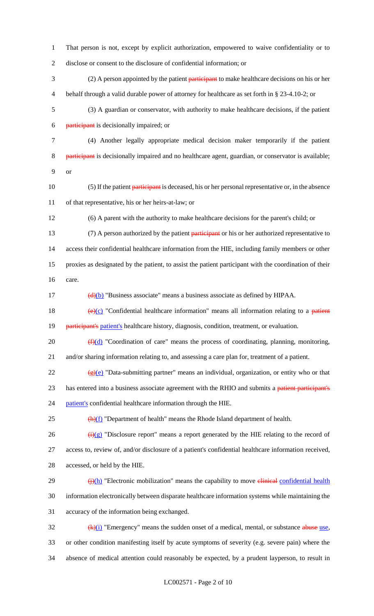1 That person is not, except by explicit authorization, empowered to waive confidentiality or to 2 disclose or consent to the disclosure of confidential information; or

3 (2) A person appointed by the patient participant to make healthcare decisions on his or her 4 behalf through a valid durable power of attorney for healthcare as set forth in § 23-4.10-2; or

5 (3) A guardian or conservator, with authority to make healthcare decisions, if the patient 6 participant is decisionally impaired; or

7 (4) Another legally appropriate medical decision maker temporarily if the patient 8 participant is decisionally impaired and no healthcare agent, guardian, or conservator is available; 9 or

10 (5) If the patient participant is deceased, his or her personal representative or, in the absence 11 of that representative, his or her heirs-at-law; or

12 (6) A parent with the authority to make healthcare decisions for the parent's child; or

13 (7) A person authorized by the patient participant or his or her authorized representative to 14 access their confidential healthcare information from the HIE, including family members or other 15 proxies as designated by the patient, to assist the patient participant with the coordination of their 16 care.

 $\frac{d}{d}$  (d)(b) "Business associate" means a business associate as defined by HIPAA.

18  $(e)(c)$  "Confidential healthcare information" means all information relating to a patient 19 participant's patient's healthcare history, diagnosis, condition, treatment, or evaluation.

20  $(f)(d)$  "Coordination of care" means the process of coordinating, planning, monitoring, 21 and/or sharing information relating to, and assessing a care plan for, treatment of a patient.

 $\frac{1}{22}$  (g)(e) "Data-submitting partner" means an individual, organization, or entity who or that 23 has entered into a business associate agreement with the RHIO and submits a patient participant's 24 patient's confidential healthcare information through the HIE.

 $25$  ( $\bigoplus$ f) "Department of health" means the Rhode Island department of health.

26  $\frac{(\mathbf{i})(\mathbf{g})}{(\mathbf{j})(\mathbf{g})}$  "Disclosure report" means a report generated by the HIE relating to the record of 27 access to, review of, and/or disclosure of a patient's confidential healthcare information received,

28 accessed, or held by the HIE.

 $\frac{(\frac{1}{2})}{h}$  "Electronic mobilization" means the capability to move elimical confidential health 30 information electronically between disparate healthcare information systems while maintaining the 31 accuracy of the information being exchanged.

 $\frac{4k}{i}$  "Emergency" means the sudden onset of a medical, mental, or substance abuse use, 33 or other condition manifesting itself by acute symptoms of severity (e.g. severe pain) where the 34 absence of medical attention could reasonably be expected, by a prudent layperson, to result in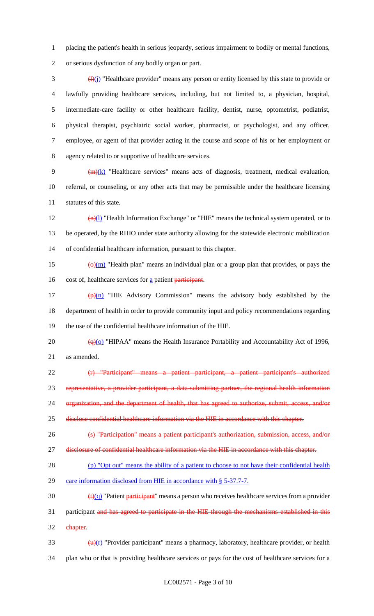1 placing the patient's health in serious jeopardy, serious impairment to bodily or mental functions, 2 or serious dysfunction of any bodily organ or part.

 $\frac{(\mu)(i)}{i}$  "Healthcare provider" means any person or entity licensed by this state to provide or lawfully providing healthcare services, including, but not limited to, a physician, hospital, intermediate-care facility or other healthcare facility, dentist, nurse, optometrist, podiatrist, physical therapist, psychiatric social worker, pharmacist, or psychologist, and any officer, employee, or agent of that provider acting in the course and scope of his or her employment or agency related to or supportive of healthcare services.

9  $(m)(k)$  "Healthcare services" means acts of diagnosis, treatment, medical evaluation, 10 referral, or counseling, or any other acts that may be permissible under the healthcare licensing 11 statutes of this state.

12  $\frac{(n)(l)}{l}$  "Health Information Exchange" or "HIE" means the technical system operated, or to 13 be operated, by the RHIO under state authority allowing for the statewide electronic mobilization 14 of confidential healthcare information, pursuant to this chapter.

15  $\left(\frac{\Theta(m)}{m}\right)$  "Health plan" means an individual plan or a group plan that provides, or pays the 16 cost of, healthcare services for a patient participant.

17  $\left(\frac{p}{n}\right)$  "HIE Advisory Commission" means the advisory body established by the 18 department of health in order to provide community input and policy recommendations regarding 19 the use of the confidential healthcare information of the HIE.

20  $\left(\frac{q}{q}\right)$  "HIPAA" means the Health Insurance Portability and Accountability Act of 1996, 21 as amended.

22 (r) "Participant" means a patient participant, a patient participant's authorized

23 representative, a provider participant, a data-submitting partner, the regional health information

24 organization, and the department of health, that has agreed to authorize, submit, access, and/or

25 disclose confidential healthcare information via the HIE in accordance with this chapter.

- 26 (s) "Participation" means a patient participant's authorization, submission, access, and/or
- 27 disclosure of confidential healthcare information via the HIE in accordance with this chapter.

28 (p) "Opt out" means the ability of a patient to choose to not have their confidential health 29 care information disclosed from HIE in accordance with § 5-37.7-7.

30  $\left(\frac{t}{q}\right)$  "Patient participant" means a person who receives healthcare services from a provider

31 participant and has agreed to participate in the HIE through the mechanisms established in this 32 chapter.

33  $(u)(r)$  "Provider participant" means a pharmacy, laboratory, healthcare provider, or health 34 plan who or that is providing healthcare services or pays for the cost of healthcare services for a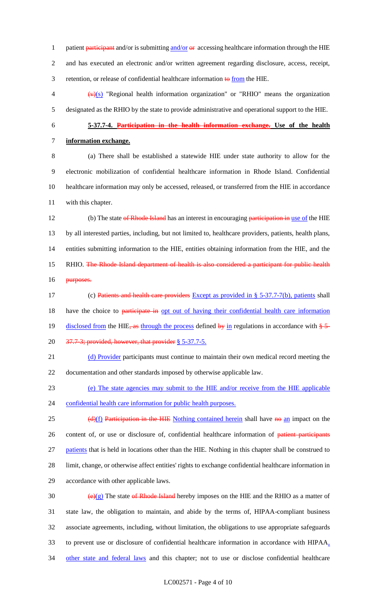1 patient participant and/or is submitting and/or  $\Theta$  accessing healthcare information through the HIE 2 and has executed an electronic and/or written agreement regarding disclosure, access, receipt, 3 retention, or release of confidential healthcare information  $\theta$  from the HIE.

 $\langle \mathbf{v} \rangle$ (s) "Regional health information organization" or "RHIO" means the organization 5 designated as the RHIO by the state to provide administrative and operational support to the HIE.

# 6 **5-37.7-4. Participation in the health information exchange. Use of the health**  7 **information exchange.**

 (a) There shall be established a statewide HIE under state authority to allow for the electronic mobilization of confidential healthcare information in Rhode Island. Confidential healthcare information may only be accessed, released, or transferred from the HIE in accordance with this chapter.

12 (b) The state of Rhode Island has an interest in encouraging participation in use of the HIE 13 by all interested parties, including, but not limited to, healthcare providers, patients, health plans, 14 entities submitting information to the HIE, entities obtaining information from the HIE, and the 15 RHIO. The Rhode Island department of health is also considered a participant for public health 16 <del>purposes.</del>

17 (c) Patients and health care providers Except as provided in § 5-37.7-7(b), patients shall 18 have the choice to participate in opt out of having their confidential health care information 19 disclosed from the HIE, as through the process defined by in regulations in accordance with  $\frac{1}{2}$ 20 37.7-3; provided, however, that provider § 5-37.7-5.

21 (d) Provider participants must continue to maintain their own medical record meeting the 22 documentation and other standards imposed by otherwise applicable law.

23 (e) The state agencies may submit to the HIE and/or receive from the HIE applicable

24 confidential health care information for public health purposes.

25 (d)(f) Participation in the HIE Nothing contained herein shall have no an impact on the 26 content of, or use or disclosure of, confidential healthcare information of patient participants 27 patients that is held in locations other than the HIE. Nothing in this chapter shall be construed to 28 limit, change, or otherwise affect entities' rights to exchange confidential healthcare information in 29 accordance with other applicable laws.

 $(e)(g)$  The state of Rhode Island hereby imposes on the HIE and the RHIO as a matter of state law, the obligation to maintain, and abide by the terms of, HIPAA-compliant business associate agreements, including, without limitation, the obligations to use appropriate safeguards to prevent use or disclosure of confidential healthcare information in accordance with HIPAA, 34 other state and federal laws and this chapter; not to use or disclose confidential healthcare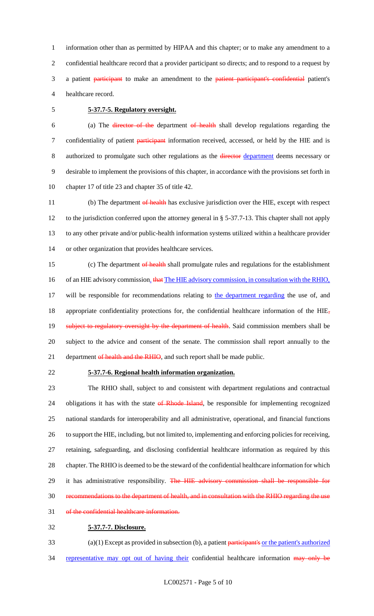information other than as permitted by HIPAA and this chapter; or to make any amendment to a confidential healthcare record that a provider participant so directs; and to respond to a request by 3 a patient participant to make an amendment to the patient participant's confidential patient's healthcare record.

## 5 **5-37.7-5. Regulatory oversight.**

6 (a) The director of the department of health shall develop regulations regarding the 7 confidentiality of patient participant information received, accessed, or held by the HIE and is 8 authorized to promulgate such other regulations as the director department deems necessary or 9 desirable to implement the provisions of this chapter, in accordance with the provisions set forth in 10 chapter 17 of title 23 and chapter 35 of title 42.

11 (b) The department of health has exclusive jurisdiction over the HIE, except with respect to the jurisdiction conferred upon the attorney general in § 5-37.7-13. This chapter shall not apply to any other private and/or public-health information systems utilized within a healthcare provider or other organization that provides healthcare services.

15 (c) The department of health shall promulgate rules and regulations for the establishment 16 of an HIE advisory commission. that The HIE advisory commission, in consultation with the RHIO, 17 will be responsible for recommendations relating to the department regarding the use of, and 18 appropriate confidentiality protections for, the confidential healthcare information of the HIE<sub>7</sub> 19 subject to regulatory oversight by the department of health. Said commission members shall be 20 subject to the advice and consent of the senate. The commission shall report annually to the 21 department of health and the RHIO, and such report shall be made public.

## 22 **5-37.7-6. Regional health information organization.**

 The RHIO shall, subject to and consistent with department regulations and contractual 24 obligations it has with the state of Rhode Island, be responsible for implementing recognized national standards for interoperability and all administrative, operational, and financial functions to support the HIE, including, but not limited to, implementing and enforcing policies for receiving, retaining, safeguarding, and disclosing confidential healthcare information as required by this chapter. The RHIO is deemed to be the steward of the confidential healthcare information for which 29 it has administrative responsibility. The HIE advisory commission shall be responsible for recommendations to the department of health, and in consultation with the RHIO regarding the use 31 of the confidential healthcare information.

#### 32 **5-37.7-7. Disclosure.**

 $(a)(1)$  Except as provided in subsection (b), a patient participant's or the patient's authorized 34 representative may opt out of having their confidential healthcare information may only be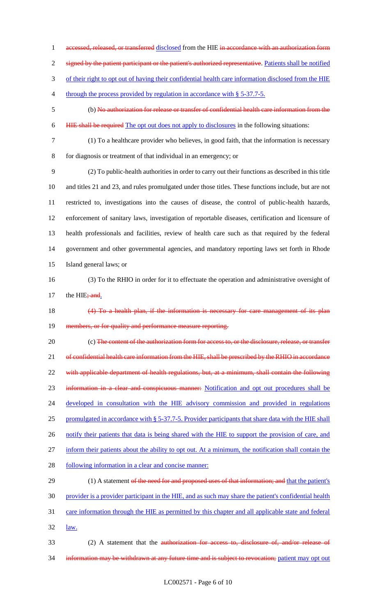1 accessed, released, or transferred disclosed from the HIE in accordance with an authorization form 2 signed by the patient participant or the patient's authorized representative. Patients shall be notified 3 of their right to opt out of having their confidential health care information disclosed from the HIE 4 through the process provided by regulation in accordance with § 5-37.7-5. 5 (b) No authorization for release or transfer of confidential health care information from the 6 HIE shall be required The opt out does not apply to disclosures in the following situations: 7 (1) To a healthcare provider who believes, in good faith, that the information is necessary 8 for diagnosis or treatment of that individual in an emergency; or 9 (2) To public-health authorities in order to carry out their functions as described in this title 10 and titles 21 and 23, and rules promulgated under those titles. These functions include, but are not 11 restricted to, investigations into the causes of disease, the control of public-health hazards, 12 enforcement of sanitary laws, investigation of reportable diseases, certification and licensure of 13 health professionals and facilities, review of health care such as that required by the federal 14 government and other governmental agencies, and mandatory reporting laws set forth in Rhode 15 Island general laws; or 16 (3) To the RHIO in order for it to effectuate the operation and administrative oversight of 17 the HIE $;$  and. 18 (4) To a health plan, if the information is necessary for care management of its plan 19 members, or for quality and performance measure reporting. 20 (c) The content of the authorization form for access to, or the disclosure, release, or transfer 21 of confidential health care information from the HIE, shall be prescribed by the RHIO in accordance 22 with applicable department of health regulations, but, at a minimum, shall contain the following 23 information in a clear and conspicuous manner: Notification and opt out procedures shall be 24 developed in consultation with the HIE advisory commission and provided in regulations 25 promulgated in accordance with § 5-37.7-5. Provider participants that share data with the HIE shall 26 notify their patients that data is being shared with the HIE to support the provision of care, and 27 inform their patients about the ability to opt out. At a minimum, the notification shall contain the 28 following information in a clear and concise manner: 29 (1) A statement of the need for and proposed uses of that information; and that the patient's 30 provider is a provider participant in the HIE, and as such may share the patient's confidential health 31 care information through the HIE as permitted by this chapter and all applicable state and federal 32 <u>law.</u> 33 (2) A statement that the authorization for access to, disclosure of, and/or release of 34 information may be withdrawn at any future time and is subject to revocation; patient may opt out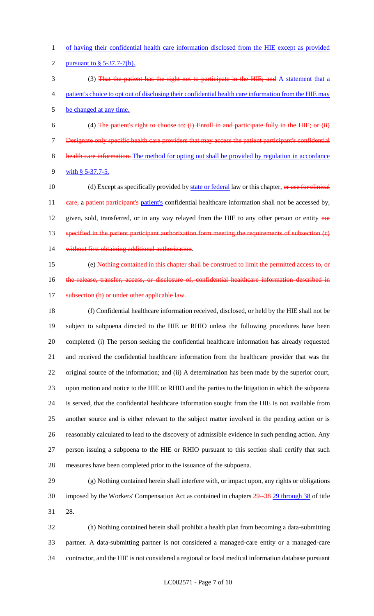of having their confidential health care information disclosed from the HIE except as provided pursuant to § 5-37.7-7(b).

3 (3) That the patient has the right not to participate in the HIE; and A statement that a patient's choice to opt out of disclosing their confidential health care information from the HIE may

be changed at any time.

 (4) The patient's right to choose to: (i) Enroll in and participate fully in the HIE; or (ii) Designate only specific health care providers that may access the patient participant's confidential 8 health care information. The method for opting out shall be provided by regulation in accordance 9 with § 5-37.7-5.

10 (d) Except as specifically provided by state or federal law or this chapter, or use for clinical 11 eare, a patient participant's patient's confidential healthcare information shall not be accessed by, 12 given, sold, transferred, or in any way relayed from the HIE to any other person or entity  $\theta$ 13 specified in the patient participant authorization form meeting the requirements of subsection (e) 14 without first obtaining additional authorization.

 (e) Nothing contained in this chapter shall be construed to limit the permitted access to, or 16 the release, transfer, access, or disclosure of, confidential healthcare information described in 17 subsection (b) or under other applicable law.

 (f) Confidential healthcare information received, disclosed, or held by the HIE shall not be subject to subpoena directed to the HIE or RHIO unless the following procedures have been completed: (i) The person seeking the confidential healthcare information has already requested and received the confidential healthcare information from the healthcare provider that was the original source of the information; and (ii) A determination has been made by the superior court, upon motion and notice to the HIE or RHIO and the parties to the litigation in which the subpoena is served, that the confidential healthcare information sought from the HIE is not available from another source and is either relevant to the subject matter involved in the pending action or is reasonably calculated to lead to the discovery of admissible evidence in such pending action. Any person issuing a subpoena to the HIE or RHIO pursuant to this section shall certify that such measures have been completed prior to the issuance of the subpoena.

 (g) Nothing contained herein shall interfere with, or impact upon, any rights or obligations 30 imposed by the Workers' Compensation Act as contained in chapters  $\frac{29-38}{29}$  through 38 of title 28.

 (h) Nothing contained herein shall prohibit a health plan from becoming a data-submitting partner. A data-submitting partner is not considered a managed-care entity or a managed-care contractor, and the HIE is not considered a regional or local medical information database pursuant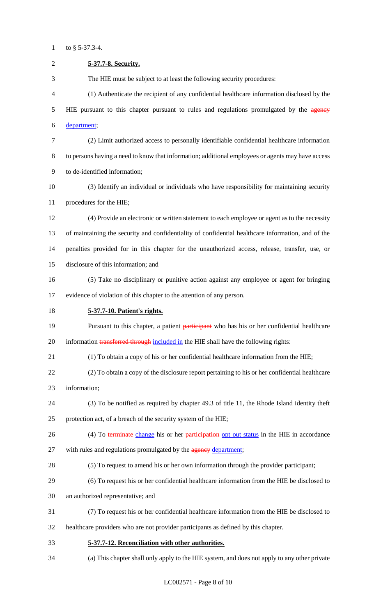1 to  $§$  5-37.3-4.

| $\overline{c}$ | 5-37.7-8. Security.                                                                                |
|----------------|----------------------------------------------------------------------------------------------------|
| 3              | The HIE must be subject to at least the following security procedures:                             |
| 4              | (1) Authenticate the recipient of any confidential healthcare information disclosed by the         |
| 5              | HIE pursuant to this chapter pursuant to rules and regulations promulgated by the agency           |
| 6              | department;                                                                                        |
| 7              | (2) Limit authorized access to personally identifiable confidential healthcare information         |
| $8\,$          | to persons having a need to know that information; additional employees or agents may have access  |
| 9              | to de-identified information;                                                                      |
| 10             | (3) Identify an individual or individuals who have responsibility for maintaining security         |
| 11             | procedures for the HIE;                                                                            |
| 12             | (4) Provide an electronic or written statement to each employee or agent as to the necessity       |
| 13             | of maintaining the security and confidentiality of confidential healthcare information, and of the |
| 14             | penalties provided for in this chapter for the unauthorized access, release, transfer, use, or     |
| 15             | disclosure of this information; and                                                                |
| 16             | (5) Take no disciplinary or punitive action against any employee or agent for bringing             |
| 17             | evidence of violation of this chapter to the attention of any person.                              |
| 18             | 5-37.7-10. Patient's rights.                                                                       |
| 19             | Pursuant to this chapter, a patient participant who has his or her confidential healthcare         |
| 20             | information transferred through included in the HIE shall have the following rights:               |
| 21             | (1) To obtain a copy of his or her confidential healthcare information from the HIE;               |
| 22             | (2) To obtain a copy of the disclosure report pertaining to his or her confidential healthcare     |
| 23             | information;                                                                                       |
| 24             | (3) To be notified as required by chapter 49.3 of title 11, the Rhode Island identity theft        |
| 25             | protection act, of a breach of the security system of the HIE;                                     |
| 26             | (4) To terminate change his or her participation opt out status in the HIE in accordance           |
| 27             | with rules and regulations promulgated by the agency department;                                   |
| 28             | (5) To request to amend his or her own information through the provider participant;               |
| 29             | (6) To request his or her confidential healthcare information from the HIE be disclosed to         |
| 30             | an authorized representative; and                                                                  |
| 31             | (7) To request his or her confidential healthcare information from the HIE be disclosed to         |
| 32             | healthcare providers who are not provider participants as defined by this chapter.                 |
| 33             | 5-37.7-12. Reconciliation with other authorities.                                                  |
| 34             | (a) This chapter shall only apply to the HIE system, and does not apply to any other private       |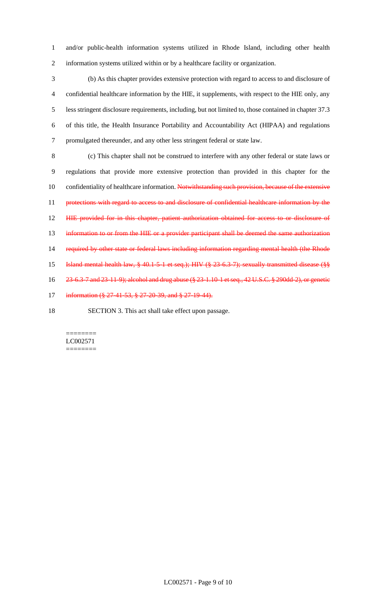1 and/or public-health information systems utilized in Rhode Island, including other health 2 information systems utilized within or by a healthcare facility or organization.

 (b) As this chapter provides extensive protection with regard to access to and disclosure of confidential healthcare information by the HIE, it supplements, with respect to the HIE only, any less stringent disclosure requirements, including, but not limited to, those contained in chapter 37.3 of this title, the Health Insurance Portability and Accountability Act (HIPAA) and regulations promulgated thereunder, and any other less stringent federal or state law.

8 (c) This chapter shall not be construed to interfere with any other federal or state laws or 9 regulations that provide more extensive protection than provided in this chapter for the 10 confidentiality of healthcare information. Notwithstanding such provision, because of the extensive 11 protections with regard to access to and disclosure of confidential healthcare information by the 12 HIE provided for in this chapter, patient authorization obtained for access to or disclosure of 13 information to or from the HIE or a provider participant shall be deemed the same authorization 14 required by other state or federal laws including information regarding mental health (the Rhode 15 Island mental health law, § 40.1-5-1 et seq.); HIV (§ 23-6.3-7); sexually transmitted disease (§§ 16 23-6.3-7 and 23-11-9); alcohol and drug abuse (§ 23-1.10-1 et seq., 42 U.S.C. § 290dd-2), or genetic 17 information (§ 27-41-53, § 27-20-39, and § 27-19-44).

18 SECTION 3. This act shall take effect upon passage.

======== LC002571 ========